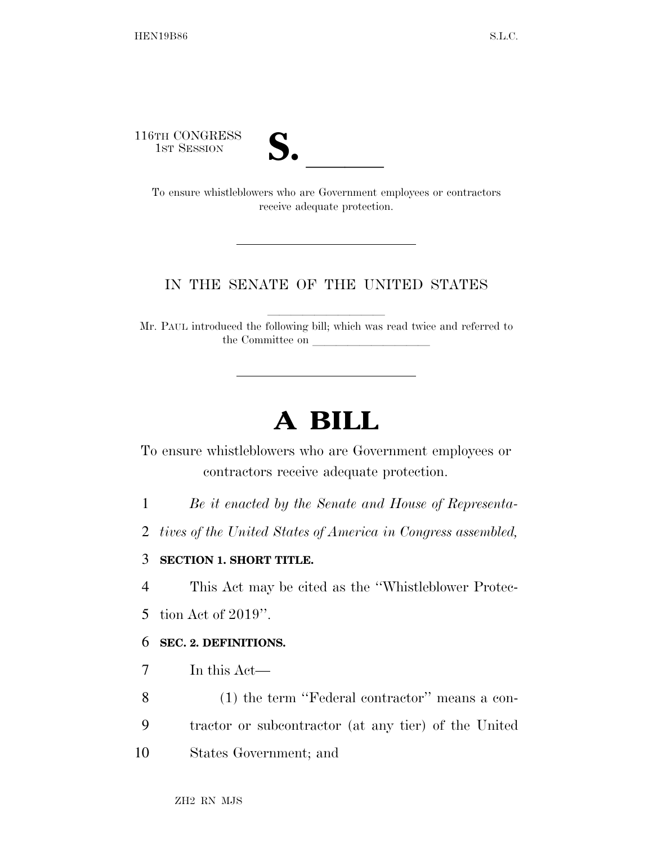116TH CONGRESS **S. laterally** 



To ensure whistleblowers who are Government employees or contractors receive adequate protection.

# IN THE SENATE OF THE UNITED STATES

Mr. PAUL introduced the following bill; which was read twice and referred to the Committee on

llllllllll

# **A BILL**

To ensure whistleblowers who are Government employees or contractors receive adequate protection.

- 1 *Be it enacted by the Senate and House of Representa-*
- 2 *tives of the United States of America in Congress assembled,*

## 3 **SECTION 1. SHORT TITLE.**

4 This Act may be cited as the ''Whistleblower Protec-

5 tion Act of 2019''.

#### 6 **SEC. 2. DEFINITIONS.**

- 7 In this Act—
- 8 (1) the term ''Federal contractor'' means a con-9 tractor or subcontractor (at any tier) of the United
- 10 States Government; and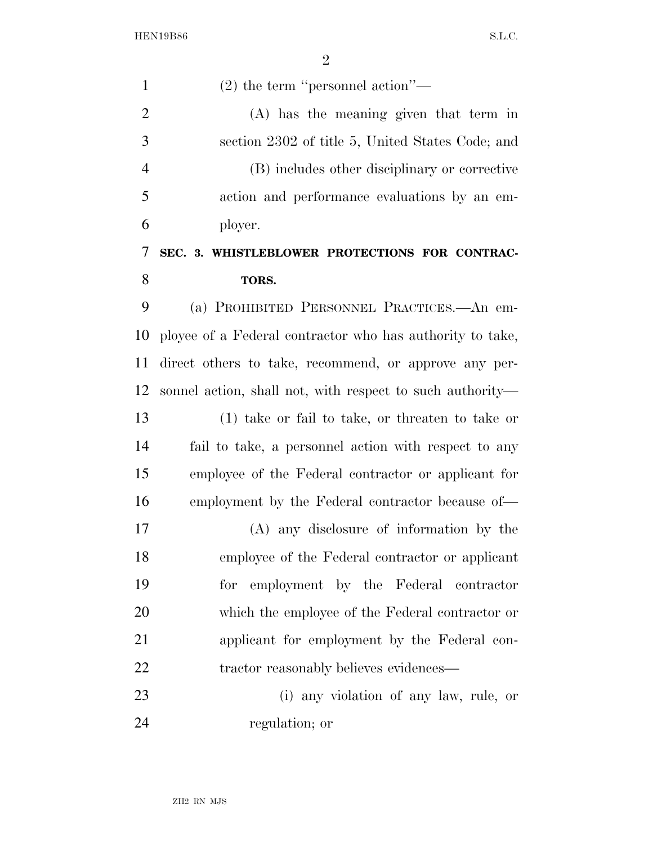HEN19B86 S.L.C.

| $\mathbf{1}$   | $(2)$ the term "personnel action"—                        |
|----------------|-----------------------------------------------------------|
| $\overline{2}$ | (A) has the meaning given that term in                    |
| 3              | section 2302 of title 5, United States Code; and          |
| $\overline{4}$ | (B) includes other disciplinary or corrective             |
| 5              | action and performance evaluations by an em-              |
| 6              | ployer.                                                   |
| 7              | SEC. 3. WHISTLEBLOWER PROTECTIONS FOR CONTRAC-            |
| 8              | TORS.                                                     |
| 9              | (a) PROHIBITED PERSONNEL PRACTICES.—An em-                |
| 10             | ployee of a Federal contractor who has authority to take, |
| 11             | direct others to take, recommend, or approve any per-     |
| 12             | sonnel action, shall not, with respect to such authority— |
| 13             | $(1)$ take or fail to take, or threaten to take or        |
| 14             | fail to take, a personnel action with respect to any      |
| 15             | employee of the Federal contractor or applicant for       |
| 16             | employment by the Federal contractor because of—          |
| 17             | (A) any disclosure of information by the                  |
| 18             | employee of the Federal contractor or applicant           |
| 19             | for employment by the Federal contractor                  |
| 20             | which the employee of the Federal contractor or           |
| 21             | applicant for employment by the Federal con-              |
| 22             | tractor reasonably believes evidences—                    |
| 23             | (i) any violation of any law, rule, or                    |
| 24             | regulation; or                                            |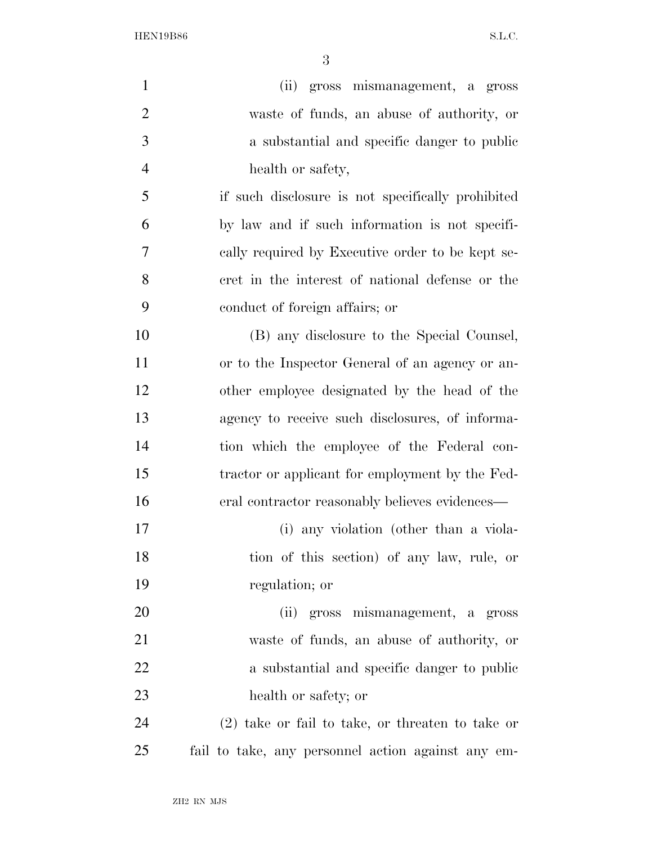HEN19B86 S.L.C.

| $\mathbf{1}$   | (ii) gross mismanagement, a gross                  |
|----------------|----------------------------------------------------|
| $\overline{2}$ | waste of funds, an abuse of authority, or          |
| 3              | a substantial and specific danger to public        |
| $\overline{4}$ | health or safety,                                  |
| 5              | if such disclosure is not specifically prohibited  |
| 6              | by law and if such information is not specifi-     |
| 7              | cally required by Executive order to be kept se-   |
| 8              | cret in the interest of national defense or the    |
| 9              | conduct of foreign affairs; or                     |
| 10             | (B) any disclosure to the Special Counsel,         |
| 11             | or to the Inspector General of an agency or an-    |
| 12             | other employee designated by the head of the       |
| 13             | agency to receive such disclosures, of informa-    |
| 14             | tion which the employee of the Federal con-        |
| 15             | tractor or applicant for employment by the Fed-    |
| 16             | eral contractor reasonably believes evidences—     |
| 17             | (i) any violation (other than a viola-             |
| 18             | tion of this section) of any law, rule, or         |
| 19             | regulation; or                                     |
| 20             | (ii) gross mismanagement, a gross                  |
| 21             | waste of funds, an abuse of authority, or          |
| 22             | a substantial and specific danger to public        |
| 23             | health or safety; or                               |
| 24             | $(2)$ take or fail to take, or threaten to take or |
| 25             | fail to take, any personnel action against any em- |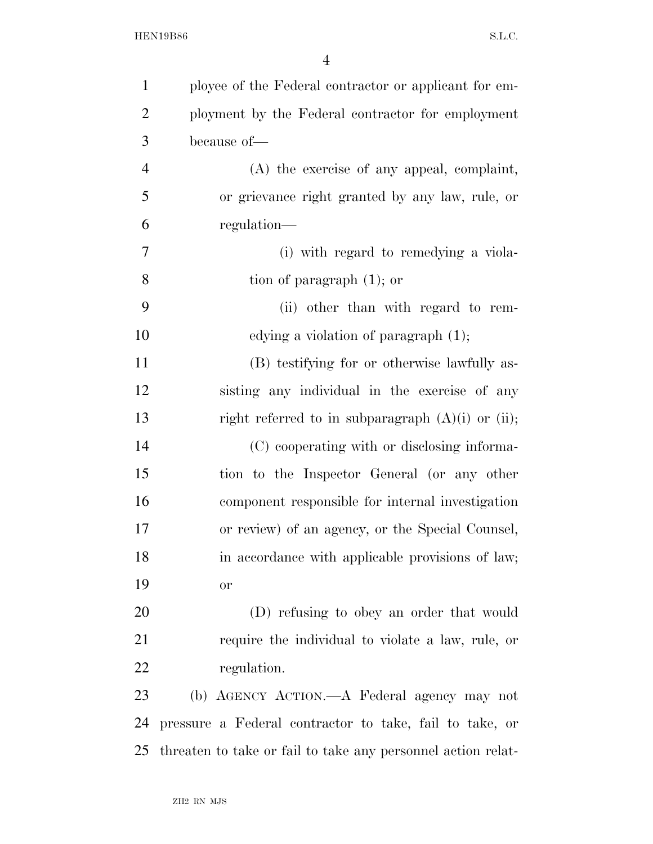| $\mathbf{1}$   | ployee of the Federal contractor or applicant for em-        |
|----------------|--------------------------------------------------------------|
| $\overline{2}$ | ployment by the Federal contractor for employment            |
| 3              | because of-                                                  |
| $\overline{4}$ | (A) the exercise of any appeal, complaint,                   |
| 5              | or grievance right granted by any law, rule, or              |
| 6              | regulation—                                                  |
| 7              | (i) with regard to remedying a viola-                        |
| 8              | tion of paragraph $(1)$ ; or                                 |
| 9              | (ii) other than with regard to rem-                          |
| 10             | edying a violation of paragraph $(1)$ ;                      |
| 11             | (B) testifying for or otherwise lawfully as-                 |
| 12             | sisting any individual in the exercise of any                |
| 13             | right referred to in subparagraph $(A)(i)$ or $(ii)$ ;       |
| 14             | (C) cooperating with or disclosing informa-                  |
| 15             | tion to the Inspector General (or any other                  |
| 16             | component responsible for internal investigation             |
| 17             | or review) of an agency, or the Special Counsel,             |
| 18             | in accordance with applicable provisions of law;             |
| 19             | <b>or</b>                                                    |
| 20             | (D) refusing to obey an order that would                     |
| 21             | require the individual to violate a law, rule, or            |
| 22             | regulation.                                                  |
| 23             | (b) AGENCY ACTION.—A Federal agency may not                  |
| 24             | pressure a Federal contractor to take, fail to take, or      |
| 25             | threaten to take or fail to take any personnel action relat- |